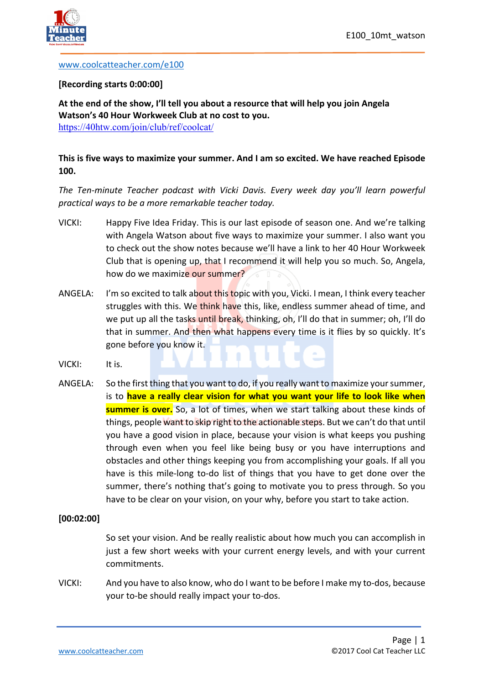

#### [www.coolcatteacher.com/e100](http://www.coolcatteacher.com/e100)

### **[Recording starts 0:00:00]**

**At the end of the show, I'll tell you about a resource that will help you join Angela Watson's 40 Hour Workweek Club at no cost to you.**  <https://40htw.com/join/club/ref/coolcat/>

## **This is five ways to maximize your summer. And I am so excited. We have reached Episode 100.**

*The Ten-minute Teacher podcast with Vicki Davis. Every week day you'll learn powerful practical ways to be a more remarkable teacher today.*

- VICKI: Happy Five Idea Friday. This is our last episode of season one. And we're talking with Angela Watson about five ways to maximize your summer. I also want you to check out the show notes because we'll have a link to her 40 Hour Workweek Club that is opening up, that I recommend it will help you so much. So, Angela, how do we maximize our summer?
- ANGELA: I'm so excited to talk about this topic with you, Vicki. I mean, I think every teacher struggles with this. We think have this, like, endless summer ahead of time, and we put up all the tasks until break, thinking, oh, I'll do that in summer; oh, I'll do that in summer. And then what happens every time is it flies by so quickly. It's gone before you know it.
- VICKI: It is.
- ANGELA: So the first thing that you want to do, if you really want to maximize your summer, is to **have a really clear vision for what you want your life to look like when summer is over.** So, a lot of times, when we start talking about these kinds of things, people want to skip right to the actionable steps. But we can't do that until you have a good vision in place, because your vision is what keeps you pushing through even when you feel like being busy or you have interruptions and obstacles and other things keeping you from accomplishing your goals. If all you have is this mile-long to-do list of things that you have to get done over the summer, there's nothing that's going to motivate you to press through. So you have to be clear on your vision, on your why, before you start to take action.

### **[00:02:00]**

So set your vision. And be really realistic about how much you can accomplish in just a few short weeks with your current energy levels, and with your current commitments.

VICKI: And you have to also know, who do I want to be before I make my to-dos, because your to-be should really impact your to-dos.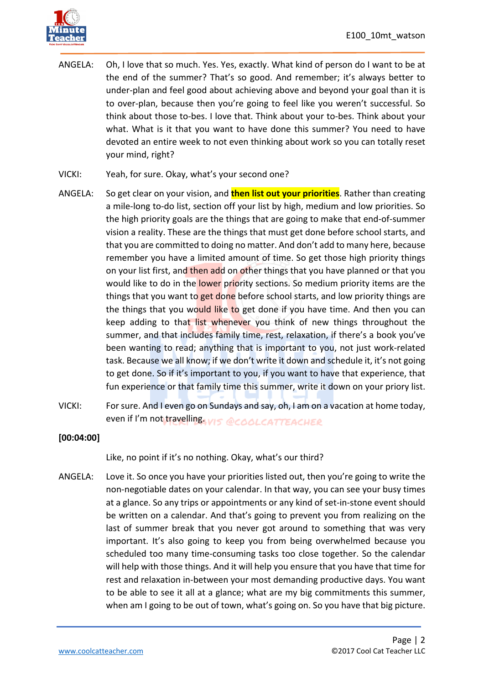

- ANGELA: Oh, I love that so much. Yes. Yes, exactly. What kind of person do I want to be at the end of the summer? That's so good. And remember; it's always better to under-plan and feel good about achieving above and beyond your goal than it is to over-plan, because then you're going to feel like you weren't successful. So think about those to-bes. I love that. Think about your to-bes. Think about your what. What is it that you want to have done this summer? You need to have devoted an entire week to not even thinking about work so you can totally reset your mind, right?
- VICKI: Yeah, for sure. Okay, what's your second one?
- ANGELA: So get clear on your vision, and **then list out your priorities**. Rather than creating a mile-long to-do list, section off your list by high, medium and low priorities. So the high priority goals are the things that are going to make that end-of-summer vision a reality. These are the things that must get done before school starts, and that you are committed to doing no matter. And don't add to many here, because remember you have a limited amount of time. So get those high priority things on your list first, and then add on other things that you have planned or that you would like to do in the lower priority sections. So medium priority items are the things that you want to get done before school starts, and low priority things are the things that you would like to get done if you have time. And then you can keep adding to that list whenever you think of new things throughout the summer, and that includes family time, rest, relaxation, if there's a book you've been wanting to read; anything that is important to you, not just work-related task. Because we all know; if we don't write it down and schedule it, it's not going to get done. So if it's important to you, if you want to have that experience, that fun experience or that family time this summer, write it down on your priory list.
- VICKI: For sure. And I even go on Sundays and say, oh, I am on a vacation at home today, even if I'm not travelling. VIS @COOLCATTEACHER

# **[00:04:00]**

Like, no point if it's no nothing. Okay, what's our third?

ANGELA: Love it. So once you have your priorities listed out, then you're going to write the non-negotiable dates on your calendar. In that way, you can see your busy times at a glance. So any trips or appointments or any kind of set-in-stone event should be written on a calendar. And that's going to prevent you from realizing on the last of summer break that you never got around to something that was very important. It's also going to keep you from being overwhelmed because you scheduled too many time-consuming tasks too close together. So the calendar will help with those things. And it will help you ensure that you have that time for rest and relaxation in-between your most demanding productive days. You want to be able to see it all at a glance; what are my big commitments this summer, when am I going to be out of town, what's going on. So you have that big picture.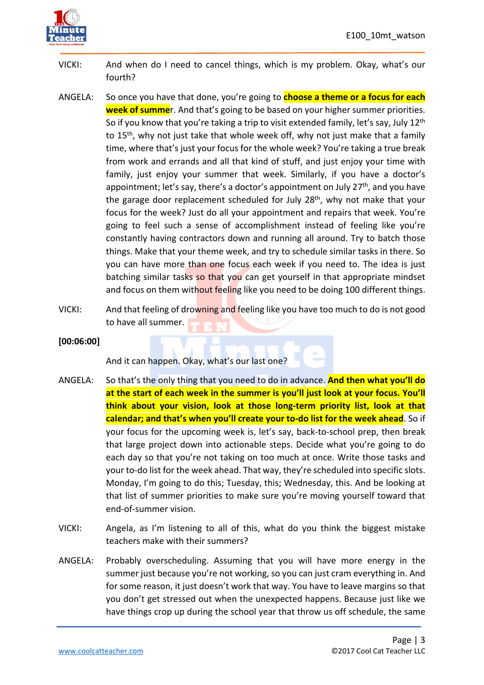

- VICKI: And when do I need to cancel things, which is my problem. Okay, what's our fourth?
- ANGELA: So once you have that done, you're going to **choose a theme or a focus for each week of summe**r. And that's going to be based on your higher summer priorities. So if you know that you're taking a trip to visit extended family, let's say, July 12<sup>th</sup> to 15<sup>th</sup>, why not just take that whole week off, why not just make that a family time, where that's just your focus for the whole week? You're taking a true break from work and errands and all that kind of stuff, and just enjoy your time with family, just enjoy your summer that week. Similarly, if you have a doctor's appointment; let's say, there's a doctor's appointment on July  $27<sup>th</sup>$ , and you have the garage door replacement scheduled for July 28<sup>th</sup>, why not make that your focus for the week? Just do all your appointment and repairs that week. You're going to feel such a sense of accomplishment instead of feeling like you're constantly having contractors down and running all around. Try to batch those things. Make that your theme week, and try to schedule similar tasks in there. So you can have more than one focus each week if you need to. The idea is just batching similar tasks so that you can get yourself in that appropriate mindset and focus on them without feeling like you need to be doing 100 different things.
- VICKI: And that feeling of drowning and feeling like you have too much to do is not good to have all summer.

### **[00:06:00]**

### And it can happen. Okay, what's our last one?

- ANGELA: So that's the only thing that you need to do in advance. **And then what you'll do at the start of each week in the summer is you'll just look at your focus. You'll think about your vision, look at those long-term priority list, look at that calendar; and that's when you'll create your to-do list for the week ahead**. So if your focus for the upcoming week is, let's say, back-to-school prep, then break that large project down into actionable steps. Decide what you're going to do each day so that you're not taking on too much at once. Write those tasks and your to-do list for the week ahead. That way, they're scheduled into specific slots. Monday, I'm going to do this; Tuesday, this; Wednesday, this. And be looking at that list of summer priorities to make sure you're moving yourself toward that end-of-summer vision.
- VICKI: Angela, as I'm listening to all of this, what do you think the biggest mistake teachers make with their summers?
- ANGELA: Probably overscheduling. Assuming that you will have more energy in the summer just because you're not working, so you can just cram everything in. And for some reason, it just doesn't work that way. You have to leave margins so that you don't get stressed out when the unexpected happens. Because just like we have things crop up during the school year that throw us off schedule, the same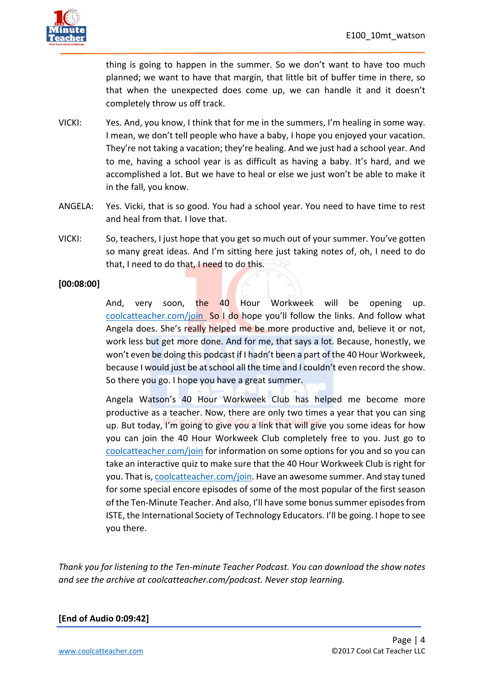

thing is going to happen in the summer. So we don't want to have too much planned; we want to have that margin, that little bit of buffer time in there, so that when the unexpected does come up, we can handle it and it doesn't completely throw us off track.

- VICKI: Yes. And, you know, I think that for me in the summers, I'm healing in some way. I mean, we don't tell people who have a baby, I hope you enjoyed your vacation. They're not taking a vacation; they're healing. And we just had a school year. And to me, having a school year is as difficult as having a baby. It's hard, and we accomplished a lot. But we have to heal or else we just won't be able to make it in the fall, you know.
- ANGELA: Yes. Vicki, that is so good. You had a school year. You need to have time to rest and heal from that. I love that.
- VICKI: So, teachers, I just hope that you get so much out of your summer. You've gotten so many great ideas. And I'm sitting here just taking notes of, oh, I need to do that, I need to do that, I need to do this.

### **[00:08:00]**

And, very soon, the 40 Hour Workweek will be opening up. [coolcatteacher.com/join](http://www.coolcatteacher.com/join) So I do hope you'll follow the links. And follow what Angela does. She's really helped me be more productive and, believe it or not, work less but get more done. And for me, that says a lot. Because, honestly, we won't even be doing this podcast if I hadn't been a part of the 40 Hour Workweek, because I would just be at school all the time and I couldn't even record the show. So there you go. I hope you have a great summer.

Angela Watson's 40 Hour Workweek Club has helped me become more productive as a teacher. Now, there are only two times a year that you can sing up. But today, I'm going to give you a link that will give you some ideas for how you can join the 40 Hour Workweek Club completely free to you. Just go to [coolcatteacher.com/join](http://www.coolcatteacher.com/join) for information on some options for you and so you can take an interactive quiz to make sure that the 40 Hour Workweek Club is right for you. That is, [coolcatteacher.com/join.](http://www.coolcatteacher.com/join) Have an awesome summer. And stay tuned for some special encore episodes of some of the most popular of the first season of the Ten-Minute Teacher. And also, I'll have some bonus summer episodes from ISTE, the International Society of Technology Educators. I'll be going. I hope to see you there.

*Thank you for listening to the Ten-minute Teacher Podcast. You can download the show notes and see the archive at coolcatteacher.com/podcast. Never stop learning.*

### **[End of Audio 0:09:42]**